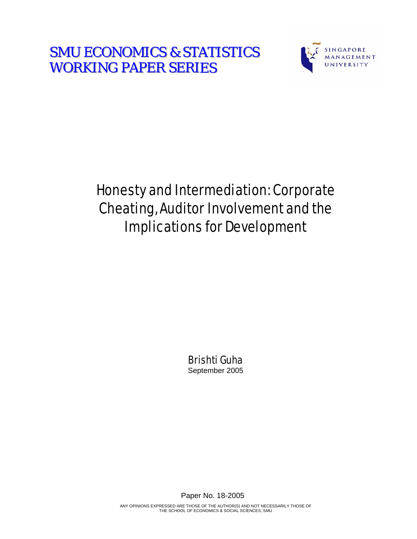**SMU ECONOMICS & STATISTICS WORKING PAPER SERIES** 



# Honesty and Intermediation: Corporate Cheating, Auditor Involvement and the Implications for Development

Brishti Guha September 2005

Paper No. 18-2005

ANY OPINIONS EXPRESSED ARE THOSE OF THE AUTHOR(S) AND NOT NECESSARILY THOSE OF THE SCHOOL OF ECONOMICS & SOCIAL SCIENCES, SMU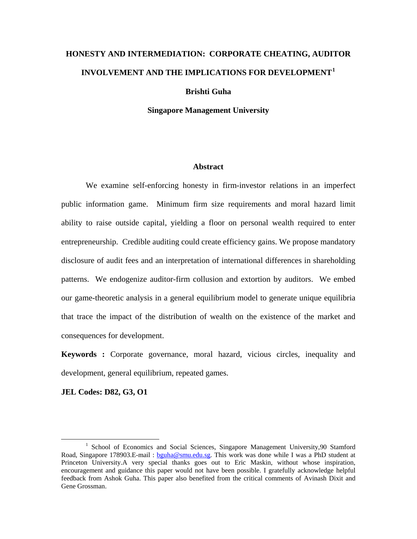# **HONESTY AND INTERMEDIATION: CORPORATE CHEATING, AUDITOR INVOLVEMENT AND THE IMPLICATIONS FOR DEVELOPMENT[1](#page-1-0)**

**Brishti Guha** 

**Singapore Management University** 

#### **Abstract**

We examine self-enforcing honesty in firm-investor relations in an imperfect public information game. Minimum firm size requirements and moral hazard limit ability to raise outside capital, yielding a floor on personal wealth required to enter entrepreneurship. Credible auditing could create efficiency gains. We propose mandatory disclosure of audit fees and an interpretation of international differences in shareholding patterns. We endogenize auditor-firm collusion and extortion by auditors. We embed our game-theoretic analysis in a general equilibrium model to generate unique equilibria that trace the impact of the distribution of wealth on the existence of the market and consequences for development.

**Keywords :** Corporate governance, moral hazard, vicious circles, inequality and development, general equilibrium, repeated games.

**JEL Codes: D82, G3, O1** 

<span id="page-1-0"></span> $\frac{1}{1}$ <sup>1</sup> School of Economics and Social Sciences, Singapore Management University, 90 Stamford Road, Singapore 178903.E-mail : [bguha@smu.edu.sg](mailto:bguha@smu.edu.sg). This work was done while I was a PhD student at Princeton University.A very special thanks goes out to Eric Maskin, without whose inspiration, encouragement and guidance this paper would not have been possible. I gratefully acknowledge helpful feedback from Ashok Guha. This paper also benefited from the critical comments of Avinash Dixit and Gene Grossman.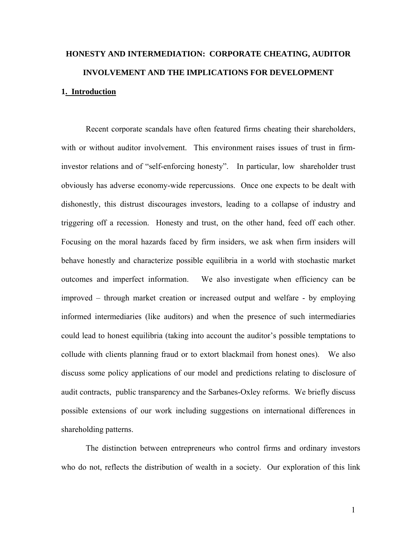# **HONESTY AND INTERMEDIATION: CORPORATE CHEATING, AUDITOR INVOLVEMENT AND THE IMPLICATIONS FOR DEVELOPMENT 1. Introduction**

Recent corporate scandals have often featured firms cheating their shareholders, with or without auditor involvement. This environment raises issues of trust in firminvestor relations and of "self-enforcing honesty". In particular, low shareholder trust obviously has adverse economy-wide repercussions. Once one expects to be dealt with dishonestly, this distrust discourages investors, leading to a collapse of industry and triggering off a recession. Honesty and trust, on the other hand, feed off each other. Focusing on the moral hazards faced by firm insiders, we ask when firm insiders will behave honestly and characterize possible equilibria in a world with stochastic market outcomes and imperfect information. We also investigate when efficiency can be improved – through market creation or increased output and welfare - by employing informed intermediaries (like auditors) and when the presence of such intermediaries could lead to honest equilibria (taking into account the auditor's possible temptations to collude with clients planning fraud or to extort blackmail from honest ones). We also discuss some policy applications of our model and predictions relating to disclosure of audit contracts, public transparency and the Sarbanes-Oxley reforms. We briefly discuss possible extensions of our work including suggestions on international differences in shareholding patterns.

The distinction between entrepreneurs who control firms and ordinary investors who do not, reflects the distribution of wealth in a society. Our exploration of this link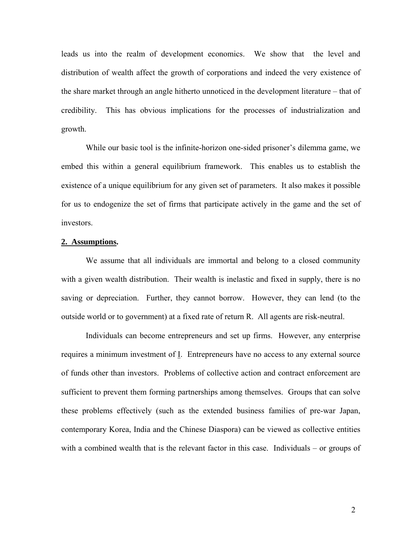leads us into the realm of development economics. We show that the level and distribution of wealth affect the growth of corporations and indeed the very existence of the share market through an angle hitherto unnoticed in the development literature – that of credibility. This has obvious implications for the processes of industrialization and growth.

While our basic tool is the infinite-horizon one-sided prisoner's dilemma game, we embed this within a general equilibrium framework. This enables us to establish the existence of a unique equilibrium for any given set of parameters. It also makes it possible for us to endogenize the set of firms that participate actively in the game and the set of investors.

#### **2. Assumptions.**

We assume that all individuals are immortal and belong to a closed community with a given wealth distribution. Their wealth is inelastic and fixed in supply, there is no saving or depreciation. Further, they cannot borrow. However, they can lend (to the outside world or to government) at a fixed rate of return R. All agents are risk-neutral.

Individuals can become entrepreneurs and set up firms. However, any enterprise requires a minimum investment of I. Entrepreneurs have no access to any external source of funds other than investors. Problems of collective action and contract enforcement are sufficient to prevent them forming partnerships among themselves. Groups that can solve these problems effectively (such as the extended business families of pre-war Japan, contemporary Korea, India and the Chinese Diaspora) can be viewed as collective entities with a combined wealth that is the relevant factor in this case. Individuals – or groups of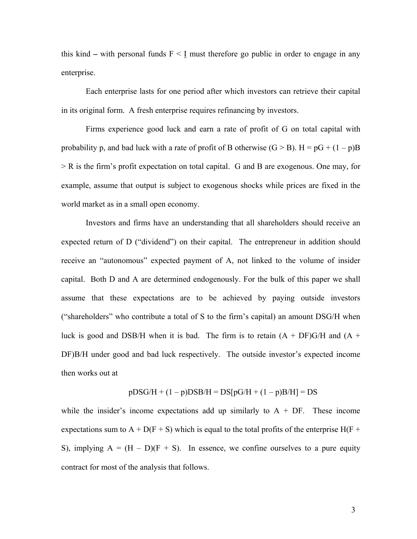this kind – with personal funds  $F \leq I$  must therefore go public in order to engage in any enterprise.

Each enterprise lasts for one period after which investors can retrieve their capital in its original form. A fresh enterprise requires refinancing by investors.

Firms experience good luck and earn a rate of profit of G on total capital with probability p, and bad luck with a rate of profit of B otherwise  $(G > B)$ .  $H = pG + (1 - p)B$ > R is the firm's profit expectation on total capital. G and B are exogenous. One may, for example, assume that output is subject to exogenous shocks while prices are fixed in the world market as in a small open economy.

Investors and firms have an understanding that all shareholders should receive an expected return of D ("dividend") on their capital. The entrepreneur in addition should receive an "autonomous" expected payment of A, not linked to the volume of insider capital. Both D and A are determined endogenously. For the bulk of this paper we shall assume that these expectations are to be achieved by paying outside investors ("shareholders" who contribute a total of S to the firm's capital) an amount DSG/H when luck is good and DSB/H when it is bad. The firm is to retain  $(A + DF)G/H$  and  $(A +$ DF)B/H under good and bad luck respectively. The outside investor's expected income then works out at

$$
pDSG/H + (1 - p)DSB/H = DS[pG/H + (1 - p)B/H] = DS
$$

while the insider's income expectations add up similarly to  $A + DF$ . These income expectations sum to A + D(F + S) which is equal to the total profits of the enterprise H(F + S), implying  $A = (H - D)(F + S)$ . In essence, we confine ourselves to a pure equity contract for most of the analysis that follows.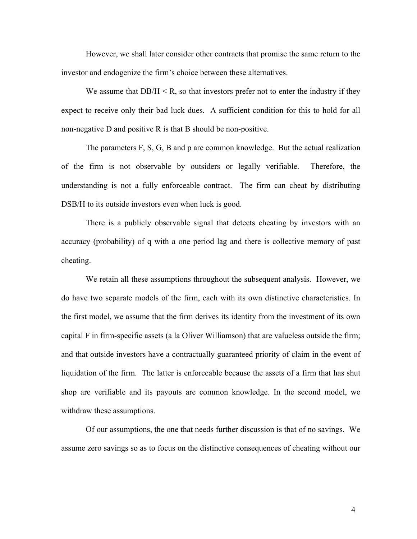However, we shall later consider other contracts that promise the same return to the investor and endogenize the firm's choice between these alternatives.

We assume that  $DB/H < R$ , so that investors prefer not to enter the industry if they expect to receive only their bad luck dues. A sufficient condition for this to hold for all non-negative D and positive R is that B should be non-positive.

The parameters F, S, G, B and p are common knowledge. But the actual realization of the firm is not observable by outsiders or legally verifiable. Therefore, the understanding is not a fully enforceable contract. The firm can cheat by distributing DSB/H to its outside investors even when luck is good.

There is a publicly observable signal that detects cheating by investors with an accuracy (probability) of q with a one period lag and there is collective memory of past cheating.

We retain all these assumptions throughout the subsequent analysis. However, we do have two separate models of the firm, each with its own distinctive characteristics. In the first model, we assume that the firm derives its identity from the investment of its own capital F in firm-specific assets (a la Oliver Williamson) that are valueless outside the firm; and that outside investors have a contractually guaranteed priority of claim in the event of liquidation of the firm. The latter is enforceable because the assets of a firm that has shut shop are verifiable and its payouts are common knowledge. In the second model, we withdraw these assumptions.

Of our assumptions, the one that needs further discussion is that of no savings. We assume zero savings so as to focus on the distinctive consequences of cheating without our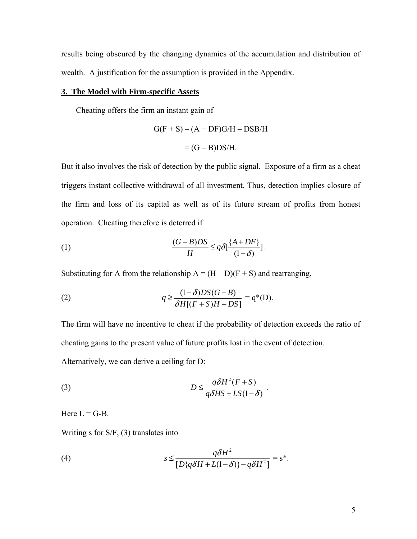results being obscured by the changing dynamics of the accumulation and distribution of wealth. A justification for the assumption is provided in the Appendix.

#### **3. The Model with Firm-specific Assets**

Cheating offers the firm an instant gain of

$$
G(F + S) – (A + DF)G/H – DSB/H
$$

$$
= (G – B)DS/H.
$$

But it also involves the risk of detection by the public signal. Exposure of a firm as a cheat triggers instant collective withdrawal of all investment. Thus, detection implies closure of the firm and loss of its capital as well as of its future stream of profits from honest operation. Cheating therefore is deterred if

(1) 
$$
\frac{(G-B)DS}{H} \leq q\delta \left[ \frac{\{A+DF\}}{(1-\delta)} \right].
$$

Substituting for A from the relationship  $A = (H - D)(F + S)$  and rearranging,

(2) 
$$
q \ge \frac{(1-\delta)DS(G-B)}{\delta H[(F+S)H-DS]} = q^*(D).
$$

The firm will have no incentive to cheat if the probability of detection exceeds the ratio of cheating gains to the present value of future profits lost in the event of detection.

Alternatively, we can derive a ceiling for D:

(3) 
$$
D \leq \frac{q\delta H^2(F+S)}{q\delta H S + LS(1-\delta)}.
$$

Here  $L = G-B$ .

Writing s for S/F, (3) translates into

(4) 
$$
s \leq \frac{q\delta H^2}{[D\{q\delta H + L(1-\delta)\} - q\delta H^2]} = s^*.
$$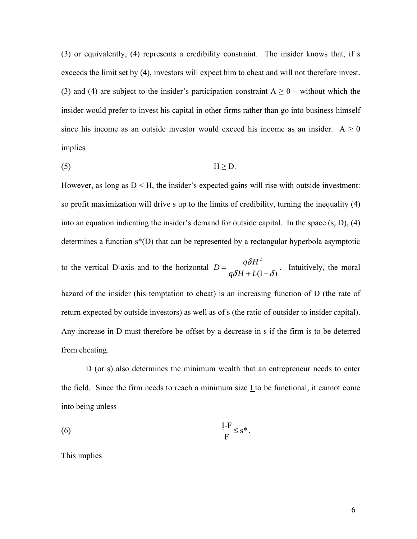(3) or equivalently, (4) represents a credibility constraint. The insider knows that, if s exceeds the limit set by (4), investors will expect him to cheat and will not therefore invest. (3) and (4) are subject to the insider's participation constraint  $A \ge 0$  – without which the insider would prefer to invest his capital in other firms rather than go into business himself since his income as an outside investor would exceed his income as an insider.  $A \ge 0$ implies

(5) H ≥ D.

However, as long as  $D \leq H$ , the insider's expected gains will rise with outside investment: so profit maximization will drive s up to the limits of credibility, turning the inequality (4) into an equation indicating the insider's demand for outside capital. In the space (s, D), (4) determines a function s\*(D) that can be represented by a rectangular hyperbola asymptotic

to the vertical D-axis and to the horizontal 2  $(1-\delta)$  $D = \frac{q\delta H}{r}$  $q\delta H + L$  $=\frac{q\delta H^2}{q\delta H + L(1-\delta)}$ . Intuitively, the moral

hazard of the insider (his temptation to cheat) is an increasing function of D (the rate of return expected by outside investors) as well as of s (the ratio of outsider to insider capital). Any increase in D must therefore be offset by a decrease in s if the firm is to be deterred from cheating.

D (or s) also determines the minimum wealth that an entrepreneur needs to enter the field. Since the firm needs to reach a minimum size I to be functional, it cannot come into being unless

$$
\frac{\underline{I} - \underline{F}}{\underline{F}} \leq s^*.
$$

This implies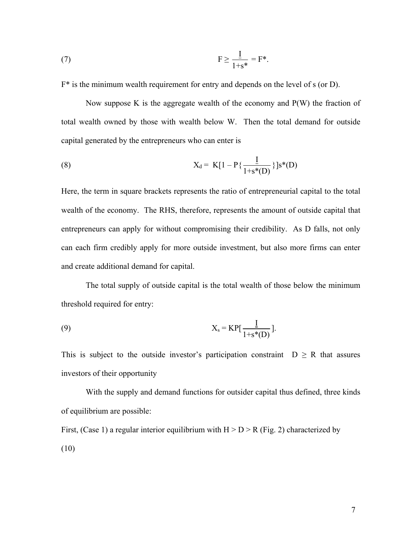(7) 
$$
F \ge \frac{1}{1+s^*} = F^*.
$$

 $F^*$  is the minimum wealth requirement for entry and depends on the level of s (or D).

Now suppose K is the aggregate wealth of the economy and  $P(W)$  the fraction of total wealth owned by those with wealth below W. Then the total demand for outside capital generated by the entrepreneurs who can enter is

(8) 
$$
X_{d} = K[1 - P\{\frac{I}{1+s^{*}(D)}\}]s^{*}(D)
$$

Here, the term in square brackets represents the ratio of entrepreneurial capital to the total wealth of the economy. The RHS, therefore, represents the amount of outside capital that entrepreneurs can apply for without compromising their credibility. As D falls, not only can each firm credibly apply for more outside investment, but also more firms can enter and create additional demand for capital.

The total supply of outside capital is the total wealth of those below the minimum threshold required for entry:

$$
X_s = KP[\frac{I}{1+s^*(D)}].
$$

This is subject to the outside investor's participation constraint  $D \ge R$  that assures investors of their opportunity

With the supply and demand functions for outsider capital thus defined, three kinds of equilibrium are possible:

First, (Case 1) a regular interior equilibrium with  $H > D > R$  (Fig. 2) characterized by (10)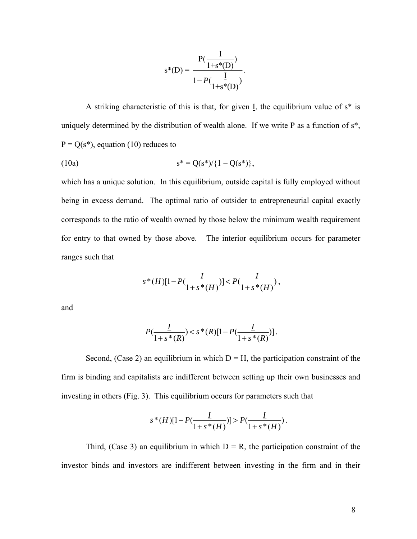$$
s^{*}(D) = \frac{P(\frac{\underline{I}}{1+s^{*}(D)})}{1-P(\frac{\underline{I}}{1+s^{*}(D)})}.
$$

A striking characteristic of this is that, for given I, the equilibrium value of  $s^*$  is uniquely determined by the distribution of wealth alone. If we write P as a function of s\*,  $P = Q(s^*)$ , equation (10) reduces to

(10a) 
$$
s^* = Q(s^*) / \{1 - Q(s^*)\},
$$

which has a unique solution. In this equilibrium, outside capital is fully employed without being in excess demand. The optimal ratio of outsider to entrepreneurial capital exactly corresponds to the ratio of wealth owned by those below the minimum wealth requirement for entry to that owned by those above. The interior equilibrium occurs for parameter ranges such that

$$
s^*(H)[1 - P(\frac{\underline{I}}{1 + s^*(H)})] < P(\frac{\underline{I}}{1 + s^*(H)}),
$$

and

$$
P(\frac{\underline{I}}{1+s^*(R)}) < s^*(R)[1-P(\frac{\underline{I}}{1+s^*(R)})].
$$

Second, (Case 2) an equilibrium in which  $D = H$ , the participation constraint of the firm is binding and capitalists are indifferent between setting up their own businesses and investing in others (Fig. 3). This equilibrium occurs for parameters such that

$$
s^*(H)[1 - P(\frac{L}{1 + s^*(H)})] > P(\frac{L}{1 + s^*(H)}).
$$

Third, (Case 3) an equilibrium in which  $D = R$ , the participation constraint of the investor binds and investors are indifferent between investing in the firm and in their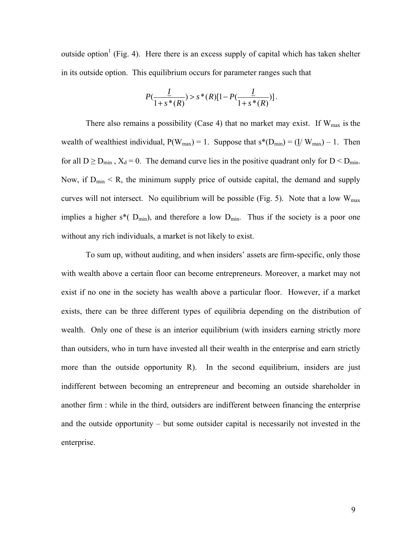outside option<sup>1</sup> (Fig. 4). Here there is an excess supply of capital which has taken shelter in its outside option. This equilibrium occurs for parameter ranges such that

$$
P(\frac{\underline{I}}{1+s^*(R)}) > s^*(R)[1-P(\frac{\underline{I}}{1+s^*(R)})].
$$

There also remains a possibility (Case 4) that no market may exist. If  $W_{max}$  is the wealth of wealthiest individual,  $P(W_{max}) = 1$ . Suppose that  $s^*(D_{min}) = (\underline{I} / W_{max}) - 1$ . Then for all  $D \ge D_{\text{min}}$ ,  $X_d = 0$ . The demand curve lies in the positive quadrant only for  $D < D_{\text{min}}$ . Now, if  $D_{\text{min}} < R$ , the minimum supply price of outside capital, the demand and supply curves will not intersect. No equilibrium will be possible (Fig. 5). Note that a low  $W_{\text{max}}$ implies a higher  $s^*$  (D<sub>min</sub>), and therefore a low D<sub>min</sub>. Thus if the society is a poor one without any rich individuals, a market is not likely to exist.

To sum up, without auditing, and when insiders' assets are firm-specific, only those with wealth above a certain floor can become entrepreneurs. Moreover, a market may not exist if no one in the society has wealth above a particular floor. However, if a market exists, there can be three different types of equilibria depending on the distribution of wealth. Only one of these is an interior equilibrium (with insiders earning strictly more than outsiders, who in turn have invested all their wealth in the enterprise and earn strictly more than the outside opportunity R). In the second equilibrium, insiders are just indifferent between becoming an entrepreneur and becoming an outside shareholder in another firm : while in the third, outsiders are indifferent between financing the enterprise and the outside opportunity – but some outsider capital is necessarily not invested in the enterprise.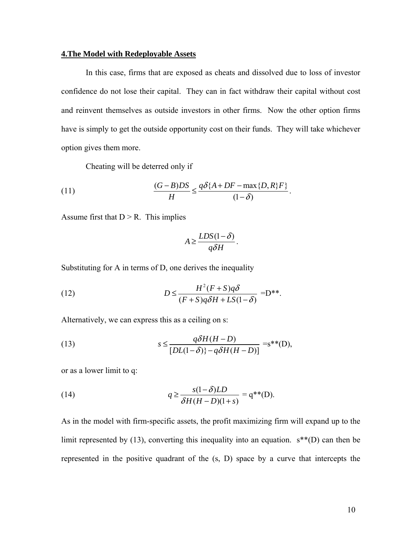#### **4.The Model with Redeployable Assets**

In this case, firms that are exposed as cheats and dissolved due to loss of investor confidence do not lose their capital. They can in fact withdraw their capital without cost and reinvent themselves as outside investors in other firms. Now the other option firms have is simply to get the outside opportunity cost on their funds. They will take whichever option gives them more.

Cheating will be deterred only if

(11) 
$$
\frac{(G-B)DS}{H} \leq \frac{q\delta\{A+DF-\max\{D,R\}F\}}{(1-\delta)}.
$$

Assume first that  $D > R$ . This implies

$$
A \ge \frac{LDS(1-\delta)}{q\delta H}.
$$

Substituting for A in terms of D, one derives the inequality

(12) 
$$
D \leq \frac{H^2(F+S)q\delta}{(F+S)q\delta H + LS(1-\delta)} = D^{**}.
$$

Alternatively, we can express this as a ceiling on s:

(13) 
$$
s \leq \frac{q\delta H(H-D)}{[DL(1-\delta)]-q\delta H(H-D)]} = s^{**}(D),
$$

or as a lower limit to q:

(14) 
$$
q \ge \frac{s(1-\delta)LD}{\delta H(H-D)(1+s)} = q^{**}(D).
$$

As in the model with firm-specific assets, the profit maximizing firm will expand up to the limit represented by (13), converting this inequality into an equation.  $s^{**}(D)$  can then be represented in the positive quadrant of the (s, D) space by a curve that intercepts the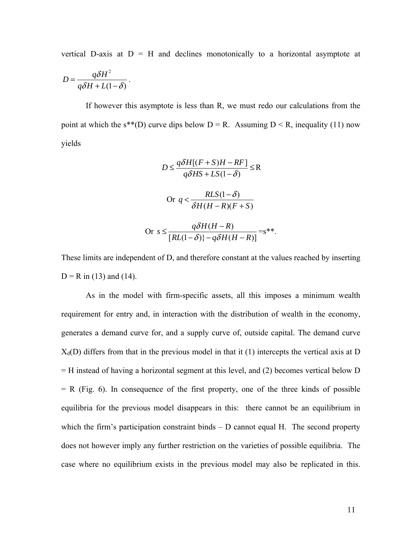vertical D-axis at  $D = H$  and declines monotonically to a horizontal asymptote at

$$
D = \frac{q\delta H^2}{q\delta H + L(1-\delta)}.
$$

 If however this asymptote is less than R, we must redo our calculations from the point at which the s\*\*(D) curve dips below  $D = R$ . Assuming  $D \le R$ , inequality (11) now yields

$$
D \le \frac{q\delta H[(F+S)H - RF]}{q\delta HS + LS(1-\delta)} \le R
$$
  
Or  $q < \frac{RLS(1-\delta)}{\delta H(H-R)(F+S)}$   
Or  $s \le \frac{q\delta H(H-R)}{[RL(1-\delta)] - q\delta H(H-R)]} = s^{**}.$ 

These limits are independent of D, and therefore constant at the values reached by inserting  $D = R$  in (13) and (14).

 As in the model with firm-specific assets, all this imposes a minimum wealth requirement for entry and, in interaction with the distribution of wealth in the economy, generates a demand curve for, and a supply curve of, outside capital. The demand curve  $X_d(D)$  differs from that in the previous model in that it (1) intercepts the vertical axis at D = H instead of having a horizontal segment at this level, and (2) becomes vertical below D  $= R$  (Fig. 6). In consequence of the first property, one of the three kinds of possible equilibria for the previous model disappears in this: there cannot be an equilibrium in which the firm's participation constraint binds  $-$  D cannot equal H. The second property does not however imply any further restriction on the varieties of possible equilibria. The case where no equilibrium exists in the previous model may also be replicated in this.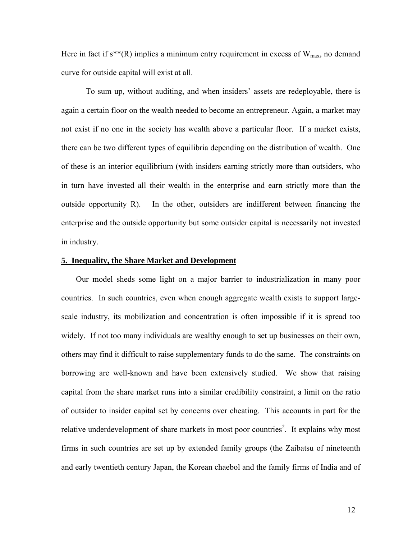Here in fact if  $s^{**}(R)$  implies a minimum entry requirement in excess of  $W_{max}$ , no demand curve for outside capital will exist at all.

 To sum up, without auditing, and when insiders' assets are redeployable, there is again a certain floor on the wealth needed to become an entrepreneur. Again, a market may not exist if no one in the society has wealth above a particular floor. If a market exists, there can be two different types of equilibria depending on the distribution of wealth. One of these is an interior equilibrium (with insiders earning strictly more than outsiders, who in turn have invested all their wealth in the enterprise and earn strictly more than the outside opportunity R). In the other, outsiders are indifferent between financing the enterprise and the outside opportunity but some outsider capital is necessarily not invested in industry.

#### **5. Inequality, the Share Market and Development**

Our model sheds some light on a major barrier to industrialization in many poor countries. In such countries, even when enough aggregate wealth exists to support largescale industry, its mobilization and concentration is often impossible if it is spread too widely. If not too many individuals are wealthy enough to set up businesses on their own, others may find it difficult to raise supplementary funds to do the same. The constraints on borrowing are well-known and have been extensively studied. We show that raising capital from the share market runs into a similar credibility constraint, a limit on the ratio of outsider to insider capital set by concerns over cheating. This accounts in part for the relative underdevelopment of share markets in most poor countries<sup>2</sup>. It explains why most firms in such countries are set up by extended family groups (the Zaibatsu of nineteenth and early twentieth century Japan, the Korean chaebol and the family firms of India and of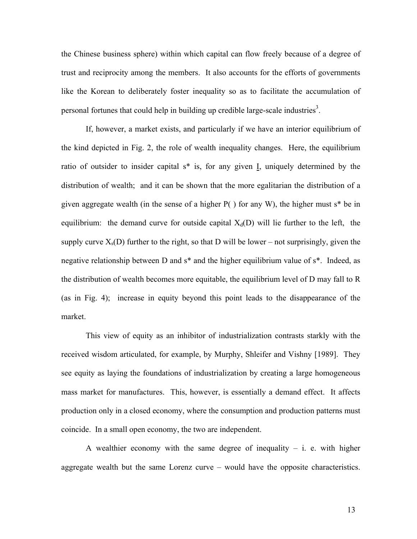the Chinese business sphere) within which capital can flow freely because of a degree of trust and reciprocity among the members. It also accounts for the efforts of governments like the Korean to deliberately foster inequality so as to facilitate the accumulation of personal fortunes that could help in building up credible large-scale industries<sup>3</sup>.

If, however, a market exists, and particularly if we have an interior equilibrium of the kind depicted in Fig. 2, the role of wealth inequality changes. Here, the equilibrium ratio of outsider to insider capital s\* is, for any given I, uniquely determined by the distribution of wealth; and it can be shown that the more egalitarian the distribution of a given aggregate wealth (in the sense of a higher P( ) for any W), the higher must s\* be in equilibrium: the demand curve for outside capital  $X_d(D)$  will lie further to the left, the supply curve  $X_s(D)$  further to the right, so that D will be lower – not surprisingly, given the negative relationship between D and s\* and the higher equilibrium value of s\*. Indeed, as the distribution of wealth becomes more equitable, the equilibrium level of D may fall to R (as in Fig. 4); increase in equity beyond this point leads to the disappearance of the market.

 This view of equity as an inhibitor of industrialization contrasts starkly with the received wisdom articulated, for example, by Murphy, Shleifer and Vishny [1989]. They see equity as laying the foundations of industrialization by creating a large homogeneous mass market for manufactures. This, however, is essentially a demand effect. It affects production only in a closed economy, where the consumption and production patterns must coincide. In a small open economy, the two are independent.

A wealthier economy with the same degree of inequality  $-$  i. e. with higher aggregate wealth but the same Lorenz curve – would have the opposite characteristics.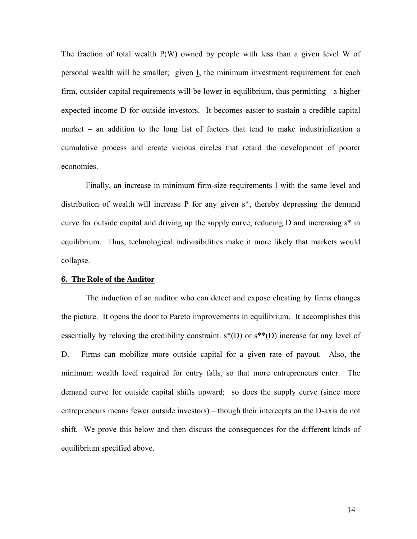The fraction of total wealth P(W) owned by people with less than a given level W of personal wealth will be smaller; given I, the minimum investment requirement for each firm, outsider capital requirements will be lower in equilibrium, thus permitting a higher expected income D for outside investors. It becomes easier to sustain a credible capital market – an addition to the long list of factors that tend to make industrialization a cumulative process and create vicious circles that retard the development of poorer economies.

 Finally, an increase in minimum firm-size requirements I with the same level and distribution of wealth will increase P for any given s\*, thereby depressing the demand curve for outside capital and driving up the supply curve, reducing D and increasing s\* in equilibrium. Thus, technological indivisibilities make it more likely that markets would collapse.

#### **6. The Role of the Auditor**

The induction of an auditor who can detect and expose cheating by firms changes the picture. It opens the door to Pareto improvements in equilibrium. It accomplishes this essentially by relaxing the credibility constraint.  $s^*(D)$  or  $s^{**}(D)$  increase for any level of D. Firms can mobilize more outside capital for a given rate of payout. Also, the minimum wealth level required for entry falls, so that more entrepreneurs enter. The demand curve for outside capital shifts upward; so does the supply curve (since more entrepreneurs means fewer outside investors) – though their intercepts on the D-axis do not shift. We prove this below and then discuss the consequences for the different kinds of equilibrium specified above.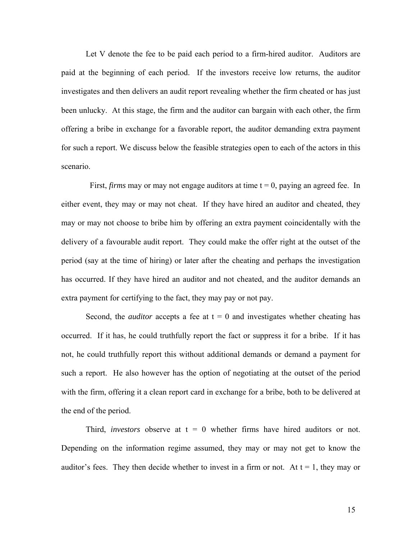Let V denote the fee to be paid each period to a firm-hired auditor. Auditors are paid at the beginning of each period. If the investors receive low returns, the auditor investigates and then delivers an audit report revealing whether the firm cheated or has just been unlucky. At this stage, the firm and the auditor can bargain with each other, the firm offering a bribe in exchange for a favorable report, the auditor demanding extra payment for such a report. We discuss below the feasible strategies open to each of the actors in this scenario.

First, *firms* may or may not engage auditors at time  $t = 0$ , paying an agreed fee. In either event, they may or may not cheat. If they have hired an auditor and cheated, they may or may not choose to bribe him by offering an extra payment coincidentally with the delivery of a favourable audit report. They could make the offer right at the outset of the period (say at the time of hiring) or later after the cheating and perhaps the investigation has occurred. If they have hired an auditor and not cheated, and the auditor demands an extra payment for certifying to the fact, they may pay or not pay.

Second, the *auditor* accepts a fee at  $t = 0$  and investigates whether cheating has occurred. If it has, he could truthfully report the fact or suppress it for a bribe. If it has not, he could truthfully report this without additional demands or demand a payment for such a report. He also however has the option of negotiating at the outset of the period with the firm, offering it a clean report card in exchange for a bribe, both to be delivered at the end of the period.

Third, *investors* observe at  $t = 0$  whether firms have hired auditors or not. Depending on the information regime assumed, they may or may not get to know the auditor's fees. They then decide whether to invest in a firm or not. At  $t = 1$ , they may or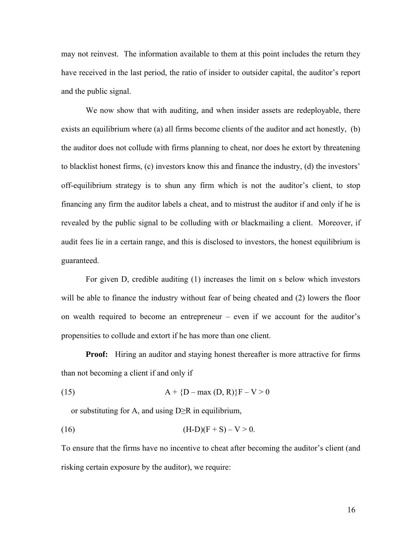may not reinvest. The information available to them at this point includes the return they have received in the last period, the ratio of insider to outsider capital, the auditor's report and the public signal.

We now show that with auditing, and when insider assets are redeployable, there exists an equilibrium where (a) all firms become clients of the auditor and act honestly, (b) the auditor does not collude with firms planning to cheat, nor does he extort by threatening to blacklist honest firms, (c) investors know this and finance the industry, (d) the investors' off-equilibrium strategy is to shun any firm which is not the auditor's client, to stop financing any firm the auditor labels a cheat, and to mistrust the auditor if and only if he is revealed by the public signal to be colluding with or blackmailing a client. Moreover, if audit fees lie in a certain range, and this is disclosed to investors, the honest equilibrium is guaranteed.

For given D, credible auditing (1) increases the limit on s below which investors will be able to finance the industry without fear of being cheated and (2) lowers the floor on wealth required to become an entrepreneur – even if we account for the auditor's propensities to collude and extort if he has more than one client.

**Proof:** Hiring an auditor and staying honest thereafter is more attractive for firms than not becoming a client if and only if

(15) 
$$
A + \{D - \max(D, R)\}F - V > 0
$$

or substituting for A, and using  $D \ge R$  in equilibrium,

(16) 
$$
(H-D)(F+S)-V>0.
$$

To ensure that the firms have no incentive to cheat after becoming the auditor's client (and risking certain exposure by the auditor), we require: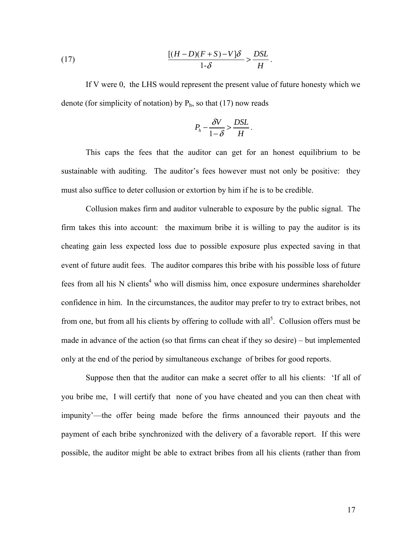(17) 
$$
\frac{[(H-D)(F+S)-V]\delta}{1-\delta} > \frac{DSL}{H}.
$$

If V were 0, the LHS would represent the present value of future honesty which we denote (for simplicity of notation) by  $P_h$ , so that (17) now reads

$$
P_h - \frac{\delta V}{1 - \delta} > \frac{DSL}{H}.
$$

This caps the fees that the auditor can get for an honest equilibrium to be sustainable with auditing. The auditor's fees however must not only be positive: they must also suffice to deter collusion or extortion by him if he is to be credible.

Collusion makes firm and auditor vulnerable to exposure by the public signal. The firm takes this into account: the maximum bribe it is willing to pay the auditor is its cheating gain less expected loss due to possible exposure plus expected saving in that event of future audit fees. The auditor compares this bribe with his possible loss of future fees from all his N clients<sup>4</sup> who will dismiss him, once exposure undermines shareholder confidence in him. In the circumstances, the auditor may prefer to try to extract bribes, not from one, but from all his clients by offering to collude with all<sup>5</sup>. Collusion offers must be made in advance of the action (so that firms can cheat if they so desire) – but implemented only at the end of the period by simultaneous exchange of bribes for good reports.

Suppose then that the auditor can make a secret offer to all his clients: 'If all of you bribe me, I will certify that none of you have cheated and you can then cheat with impunity'—the offer being made before the firms announced their payouts and the payment of each bribe synchronized with the delivery of a favorable report. If this were possible, the auditor might be able to extract bribes from all his clients (rather than from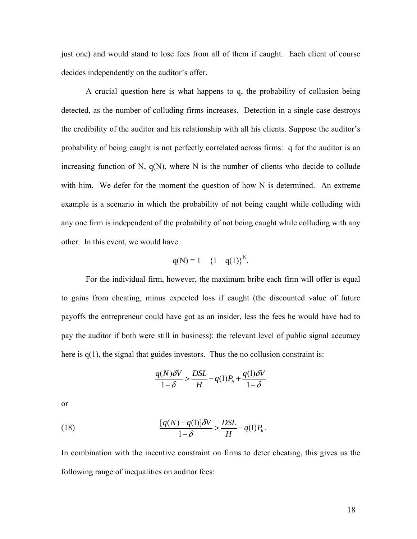just one) and would stand to lose fees from all of them if caught. Each client of course decides independently on the auditor's offer.

A crucial question here is what happens to q, the probability of collusion being detected, as the number of colluding firms increases. Detection in a single case destroys the credibility of the auditor and his relationship with all his clients. Suppose the auditor's probability of being caught is not perfectly correlated across firms: q for the auditor is an increasing function of N,  $q(N)$ , where N is the number of clients who decide to collude with him. We defer for the moment the question of how N is determined. An extreme example is a scenario in which the probability of not being caught while colluding with any one firm is independent of the probability of not being caught while colluding with any other. In this event, we would have

$$
q(N) = 1 - \{1 - q(1)\}^{N}.
$$

For the individual firm, however, the maximum bribe each firm will offer is equal to gains from cheating, minus expected loss if caught (the discounted value of future payoffs the entrepreneur could have got as an insider, less the fees he would have had to pay the auditor if both were still in business): the relevant level of public signal accuracy here is  $q(1)$ , the signal that guides investors. Thus the no collusion constraint is:

$$
\frac{q(N)\delta V}{1-\delta} > \frac{DSL}{H} - q(1)P_h + \frac{q(1)\delta V}{1-\delta}
$$

or

(18) 
$$
\frac{[q(N)-q(1)]\delta V}{1-\delta} > \frac{DSL}{H} - q(1)P_h.
$$

In combination with the incentive constraint on firms to deter cheating, this gives us the following range of inequalities on auditor fees: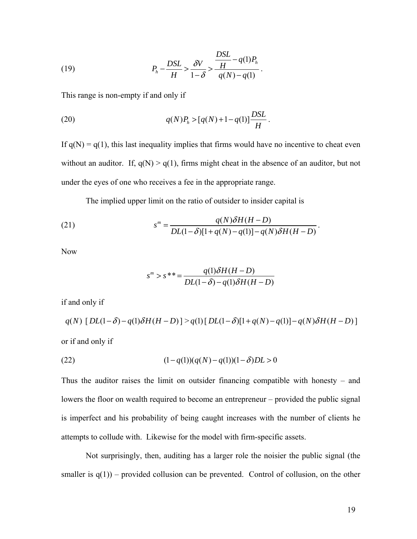(19) 
$$
P_h - \frac{DSL}{H} > \frac{\delta V}{1 - \delta} > \frac{\frac{DSL}{H} - q(1)P_h}{q(N) - q(1)}.
$$

This range is non-empty if and only if

(20) 
$$
q(N)P_h > [q(N)+1-q(1)]\frac{DSL}{H}.
$$

If  $q(N) = q(1)$ , this last inequality implies that firms would have no incentive to cheat even without an auditor. If,  $q(N) > q(1)$ , firms might cheat in the absence of an auditor, but not under the eyes of one who receives a fee in the appropriate range.

The implied upper limit on the ratio of outsider to insider capital is

(21) 
$$
s^{m} = \frac{q(N)\delta H(H-D)}{DL(1-\delta)[1+q(N)-q(1)]-q(N)\delta H(H-D)}.
$$

Now

$$
s^{m} > s^{**} = \frac{q(1)\delta H(H - D)}{DL(1 - \delta) - q(1)\delta H(H - D)}
$$

if and only if

$$
q(N) \left[ DL(1-\delta) - q(1)\delta H(H-D) \right] > q(1) \left[ DL(1-\delta)[1+q(N)-q(1)] - q(N)\delta H(H-D) \right]
$$

or if and only if

(22) 
$$
(1-q(1))(q(N)-q(1))(1-\delta)DL>0
$$

Thus the auditor raises the limit on outsider financing compatible with honesty – and lowers the floor on wealth required to become an entrepreneur – provided the public signal is imperfect and his probability of being caught increases with the number of clients he attempts to collude with. Likewise for the model with firm-specific assets.

Not surprisingly, then, auditing has a larger role the noisier the public signal (the smaller is  $q(1)$  – provided collusion can be prevented. Control of collusion, on the other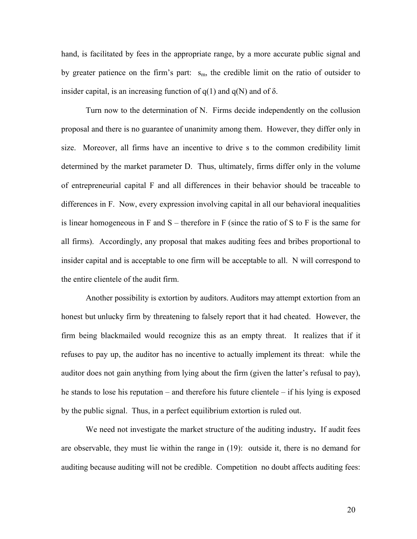hand, is facilitated by fees in the appropriate range, by a more accurate public signal and by greater patience on the firm's part:  $s_m$ , the credible limit on the ratio of outsider to insider capital, is an increasing function of  $q(1)$  and  $q(N)$  and of  $\delta$ .

Turn now to the determination of N. Firms decide independently on the collusion proposal and there is no guarantee of unanimity among them. However, they differ only in size. Moreover, all firms have an incentive to drive s to the common credibility limit determined by the market parameter D. Thus, ultimately, firms differ only in the volume of entrepreneurial capital F and all differences in their behavior should be traceable to differences in F. Now, every expression involving capital in all our behavioral inequalities is linear homogeneous in F and  $S$  – therefore in F (since the ratio of S to F is the same for all firms). Accordingly, any proposal that makes auditing fees and bribes proportional to insider capital and is acceptable to one firm will be acceptable to all. N will correspond to the entire clientele of the audit firm.

 Another possibility is extortion by auditors. Auditors may attempt extortion from an honest but unlucky firm by threatening to falsely report that it had cheated. However, the firm being blackmailed would recognize this as an empty threat. It realizes that if it refuses to pay up, the auditor has no incentive to actually implement its threat: while the auditor does not gain anything from lying about the firm (given the latter's refusal to pay), he stands to lose his reputation – and therefore his future clientele – if his lying is exposed by the public signal. Thus, in a perfect equilibrium extortion is ruled out.

 We need not investigate the market structure of the auditing industry**.** If audit fees are observable, they must lie within the range in (19): outside it, there is no demand for auditing because auditing will not be credible. Competition no doubt affects auditing fees: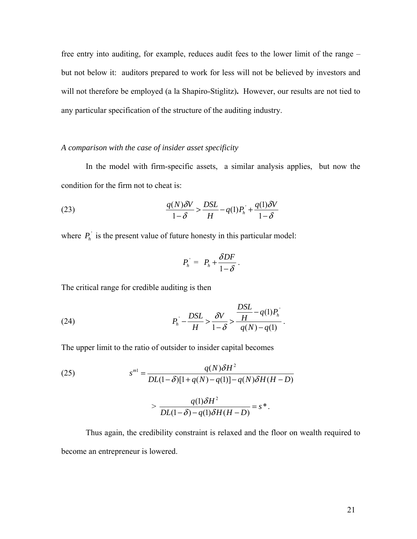free entry into auditing, for example, reduces audit fees to the lower limit of the range – but not below it: auditors prepared to work for less will not be believed by investors and will not therefore be employed (a la Shapiro-Stiglitz)**.** However, our results are not tied to any particular specification of the structure of the auditing industry.

# *A comparison with the case of insider asset specificity*

In the model with firm-specific assets, a similar analysis applies, but now the condition for the firm not to cheat is:

(23) 
$$
\frac{q(N)\delta V}{1-\delta} > \frac{DSL}{H} - q(1)P_h + \frac{q(1)\delta V}{1-\delta}
$$

where  $P_h$  is the present value of future honesty in this particular model:

$$
P_h^{\prime} = P_h + \frac{\delta DF}{1 - \delta}.
$$

The critical range for credible auditing is then

(24) 
$$
P_h^{\dagger} - \frac{DSL}{H} > \frac{\delta V}{1 - \delta} > \frac{DSL}{q(N) - q(1)}.
$$

The upper limit to the ratio of outsider to insider capital becomes

(25) 
$$
s^{m1} = \frac{q(N)\delta H^2}{DL(1-\delta)[1+q(N)-q(1)]-q(N)\delta H(H-D)}
$$

$$
> \frac{q(1)\delta H^2}{DL(1-\delta)-q(1)\delta H(H-D)} = s^*.
$$

Thus again, the credibility constraint is relaxed and the floor on wealth required to become an entrepreneur is lowered.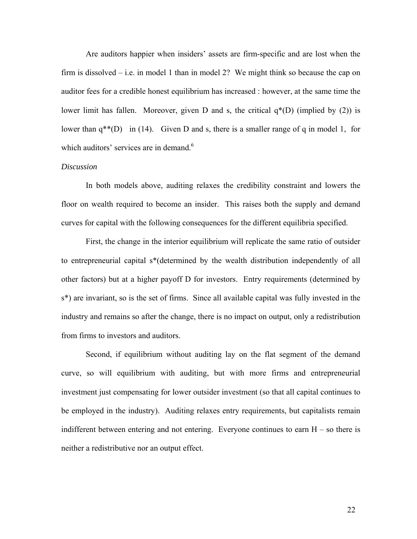Are auditors happier when insiders' assets are firm-specific and are lost when the firm is dissolved – i.e. in model 1 than in model 2? We might think so because the cap on auditor fees for a credible honest equilibrium has increased : however, at the same time the lower limit has fallen. Moreover, given D and s, the critical  $q^*(D)$  (implied by (2)) is lower than  $q^{**}(D)$  in (14). Given D and s, there is a smaller range of q in model 1, for which auditors' services are in demand.<sup>6</sup>

# *Discussion*

In both models above, auditing relaxes the credibility constraint and lowers the floor on wealth required to become an insider. This raises both the supply and demand curves for capital with the following consequences for the different equilibria specified.

First, the change in the interior equilibrium will replicate the same ratio of outsider to entrepreneurial capital s\*(determined by the wealth distribution independently of all other factors) but at a higher payoff D for investors. Entry requirements (determined by s\*) are invariant, so is the set of firms. Since all available capital was fully invested in the industry and remains so after the change, there is no impact on output, only a redistribution from firms to investors and auditors.

Second, if equilibrium without auditing lay on the flat segment of the demand curve, so will equilibrium with auditing, but with more firms and entrepreneurial investment just compensating for lower outsider investment (so that all capital continues to be employed in the industry). Auditing relaxes entry requirements, but capitalists remain indifferent between entering and not entering. Everyone continues to earn  $H - so$  there is neither a redistributive nor an output effect.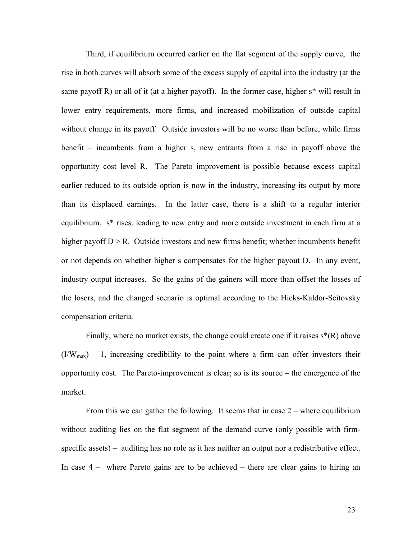Third, if equilibrium occurred earlier on the flat segment of the supply curve, the rise in both curves will absorb some of the excess supply of capital into the industry (at the same payoff R) or all of it (at a higher payoff). In the former case, higher  $s^*$  will result in lower entry requirements, more firms, and increased mobilization of outside capital without change in its payoff. Outside investors will be no worse than before, while firms benefit – incumbents from a higher s, new entrants from a rise in payoff above the opportunity cost level R. The Pareto improvement is possible because excess capital earlier reduced to its outside option is now in the industry, increasing its output by more than its displaced earnings. In the latter case, there is a shift to a regular interior equilibrium. s\* rises, leading to new entry and more outside investment in each firm at a higher payoff  $D > R$ . Outside investors and new firms benefit; whether incumbents benefit or not depends on whether higher s compensates for the higher payout D. In any event, industry output increases. So the gains of the gainers will more than offset the losses of the losers, and the changed scenario is optimal according to the Hicks-Kaldor-Scitovsky compensation criteria.

Finally, where no market exists, the change could create one if it raises  $s^*(R)$  above  $(IV_{max}) - 1$ , increasing credibility to the point where a firm can offer investors their opportunity cost. The Pareto-improvement is clear; so is its source – the emergence of the market.

From this we can gather the following. It seems that in case 2 – where equilibrium without auditing lies on the flat segment of the demand curve (only possible with firmspecific assets) – auditing has no role as it has neither an output nor a redistributive effect. In case 4 – where Pareto gains are to be achieved – there are clear gains to hiring an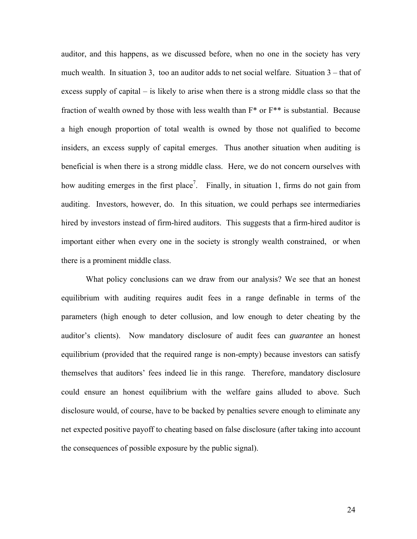auditor, and this happens, as we discussed before, when no one in the society has very much wealth. In situation 3, too an auditor adds to net social welfare. Situation 3 – that of excess supply of capital – is likely to arise when there is a strong middle class so that the fraction of wealth owned by those with less wealth than F\* or F\*\* is substantial. Because a high enough proportion of total wealth is owned by those not qualified to become insiders, an excess supply of capital emerges. Thus another situation when auditing is beneficial is when there is a strong middle class. Here, we do not concern ourselves with how auditing emerges in the first place<sup>7</sup>. Finally, in situation 1, firms do not gain from auditing. Investors, however, do. In this situation, we could perhaps see intermediaries hired by investors instead of firm-hired auditors. This suggests that a firm-hired auditor is important either when every one in the society is strongly wealth constrained, or when there is a prominent middle class.

What policy conclusions can we draw from our analysis? We see that an honest equilibrium with auditing requires audit fees in a range definable in terms of the parameters (high enough to deter collusion, and low enough to deter cheating by the auditor's clients). Now mandatory disclosure of audit fees can *guarantee* an honest equilibrium (provided that the required range is non-empty) because investors can satisfy themselves that auditors' fees indeed lie in this range. Therefore, mandatory disclosure could ensure an honest equilibrium with the welfare gains alluded to above. Such disclosure would, of course, have to be backed by penalties severe enough to eliminate any net expected positive payoff to cheating based on false disclosure (after taking into account the consequences of possible exposure by the public signal).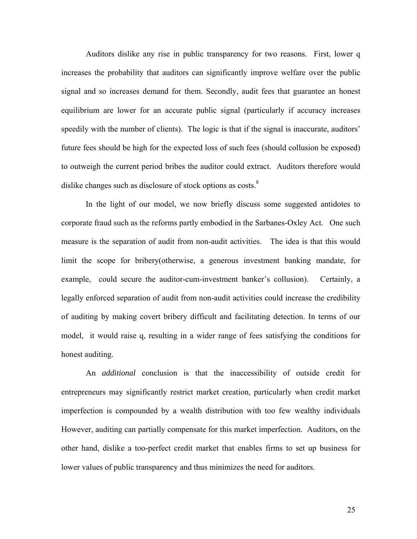Auditors dislike any rise in public transparency for two reasons. First, lower q increases the probability that auditors can significantly improve welfare over the public signal and so increases demand for them. Secondly, audit fees that guarantee an honest equilibrium are lower for an accurate public signal (particularly if accuracy increases speedily with the number of clients). The logic is that if the signal is inaccurate, auditors' future fees should be high for the expected loss of such fees (should collusion be exposed) to outweigh the current period bribes the auditor could extract. Auditors therefore would dislike changes such as disclosure of stock options as costs. $8$ 

In the light of our model, we now briefly discuss some suggested antidotes to corporate fraud such as the reforms partly embodied in the Sarbanes-Oxley Act. One such measure is the separation of audit from non-audit activities. The idea is that this would limit the scope for bribery(otherwise, a generous investment banking mandate, for example, could secure the auditor-cum-investment banker's collusion). Certainly, a legally enforced separation of audit from non-audit activities could increase the credibility of auditing by making covert bribery difficult and facilitating detection. In terms of our model, it would raise q, resulting in a wider range of fees satisfying the conditions for honest auditing.

An *additional* conclusion is that the inaccessibility of outside credit for entrepreneurs may significantly restrict market creation, particularly when credit market imperfection is compounded by a wealth distribution with too few wealthy individuals However, auditing can partially compensate for this market imperfection. Auditors, on the other hand, dislike a too-perfect credit market that enables firms to set up business for lower values of public transparency and thus minimizes the need for auditors.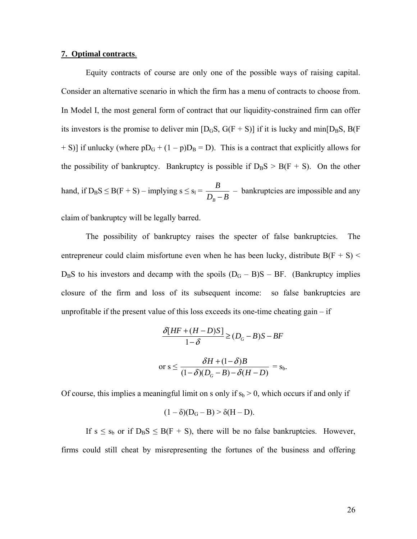#### **7. Optimal contracts**.

Equity contracts of course are only one of the possible ways of raising capital. Consider an alternative scenario in which the firm has a menu of contracts to choose from. In Model I, the most general form of contract that our liquidity-constrained firm can offer its investors is the promise to deliver min  $[D<sub>G</sub>S, G(F + S)]$  if it is lucky and min $[D<sub>B</sub>S, B(F$ + S)] if unlucky (where  $pD_G + (1 - p)D_B = D$ ). This is a contract that explicitly allows for the possibility of bankruptcy. Bankruptcy is possible if  $D<sub>B</sub>S > B(F + S)$ . On the other hand, if  $D_B S \leq B(F + S) -$  implying  $s \leq s_1 =$ *B*  $\frac{B}{D_R - B}$  – bankruptcies are impossible and any

claim of bankruptcy will be legally barred.

The possibility of bankruptcy raises the specter of false bankruptcies. The entrepreneur could claim misfortune even when he has been lucky, distribute  $B(F + S)$  <  $D<sub>B</sub>S$  to his investors and decamp with the spoils  $(D<sub>G</sub> - B)S - BF$ . (Bankruptcy implies closure of the firm and loss of its subsequent income: so false bankruptcies are unprofitable if the present value of this loss exceeds its one-time cheating gain  $-$  if

$$
\frac{\delta[HF + (H - D)S]}{1 - \delta} \ge (D_G - B)S - BF
$$
  
or  $s \le \frac{\delta H + (1 - \delta)B}{(1 - \delta)(D_G - B) - \delta(H - D)} = s_b.$ 

Of course, this implies a meaningful limit on s only if  $s_b > 0$ , which occurs if and only if

$$
(1-\delta)(D_G-B) > \delta(H-D).
$$

If  $s \le s_b$  or if  $D_B S \le B(F + S)$ , there will be no false bankruptcies. However, firms could still cheat by misrepresenting the fortunes of the business and offering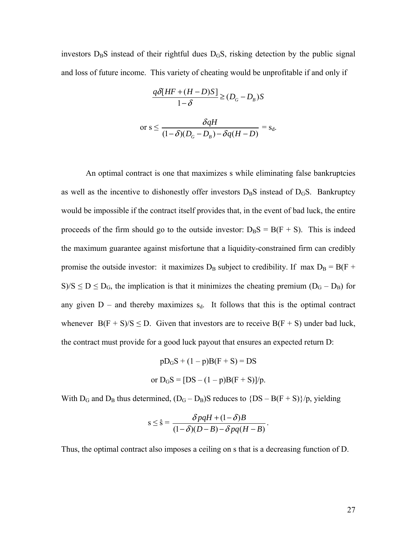investors  $D_B S$  instead of their rightful dues  $D_G S$ , risking detection by the public signal and loss of future income. This variety of cheating would be unprofitable if and only if

$$
\frac{q\delta[HF + (H - D)S]}{1 - \delta} \ge (D_G - D_B)S
$$
  
or  $s \le \frac{\delta qH}{(1 - \delta)(D_G - D_B) - \delta q(H - D)} = s_d.$ 

An optimal contract is one that maximizes s while eliminating false bankruptcies as well as the incentive to dishonestly offer investors  $D<sub>B</sub>S$  instead of  $D<sub>G</sub>S$ . Bankruptcy would be impossible if the contract itself provides that, in the event of bad luck, the entire proceeds of the firm should go to the outside investor:  $D<sub>B</sub>S = B(F + S)$ . This is indeed the maximum guarantee against misfortune that a liquidity-constrained firm can credibly promise the outside investor: it maximizes  $D_B$  subject to credibility. If max  $D_B = B(F +$ S)/S  $\leq$  D  $\leq$  D<sub>G</sub>, the implication is that it minimizes the cheating premium (D<sub>G</sub> – D<sub>B</sub>) for any given  $D$  – and thereby maximizes  $s_d$ . It follows that this is the optimal contract whenever  $B(F + S)/S \le D$ . Given that investors are to receive  $B(F + S)$  under bad luck, the contract must provide for a good luck payout that ensures an expected return D:

$$
pDGS + (1 - p)B(F + S) = DS
$$
  
or  $DGS = [DS - (1 - p)B(F + S)]/p$ .

With  $D_G$  and  $D_B$  thus determined,  $(D_G - D_B)S$  reduces to  $\{DS - B(F + S)\}/p$ , yielding

$$
s \leq \hat{s} = \frac{\delta pqH + (1-\delta)B}{(1-\delta)(D-B) - \delta pq(H-B)}.
$$

Thus, the optimal contract also imposes a ceiling on s that is a decreasing function of D.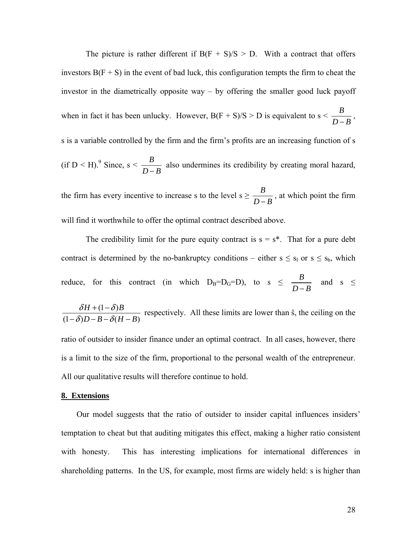The picture is rather different if  $B(F + S)/S > D$ . With a contract that offers investors  $B(F + S)$  in the event of bad luck, this configuration tempts the firm to cheat the investor in the diametrically opposite way – by offering the smaller good luck payoff when in fact it has been unlucky. However,  $B(F + S)/S > D$  is equivalent to  $s < \frac{B}{D-B}$ , s is a variable controlled by the firm and the firm's profits are an increasing function of s (if D < H).<sup>9</sup> Since, s <  $\frac{B}{D-B}$  also undermines its credibility by creating moral hazard,

the firm has every incentive to increase s to the level  $s \geq \frac{B}{D-B}$ , at which point the firm will find it worthwhile to offer the optimal contract described above.

The credibility limit for the pure equity contract is  $s = s^*$ . That for a pure debt contract is determined by the no-bankruptcy conditions – either  $s \le s_1$  or  $s \le s_b$ , which reduce, for this contract (in which  $D_B=D_G=D$ ), to  $s \leq \frac{B}{D-B}$  and  $s \leq$ 

 $(1-\delta)$  $(1-\delta)D - B - \delta(H - B)$  $H + (1 - \delta)B$  $D-B-\delta(H-B)$  $\delta H + (1-\delta)$  $\delta$ )D – B –  $\delta$  $\frac{\delta H + (1-\delta)B}{\delta D - B - \delta (H-B)}$  respectively. All these limits are lower than ŝ, the ceiling on the ratio of outsider to insider finance under an optimal contract. In all cases, however, there is a limit to the size of the firm, proportional to the personal wealth of the entrepreneur. All our qualitative results will therefore continue to hold.

#### **8. Extensions**

Our model suggests that the ratio of outsider to insider capital influences insiders' temptation to cheat but that auditing mitigates this effect, making a higher ratio consistent with honesty. This has interesting implications for international differences in shareholding patterns. In the US, for example, most firms are widely held: s is higher than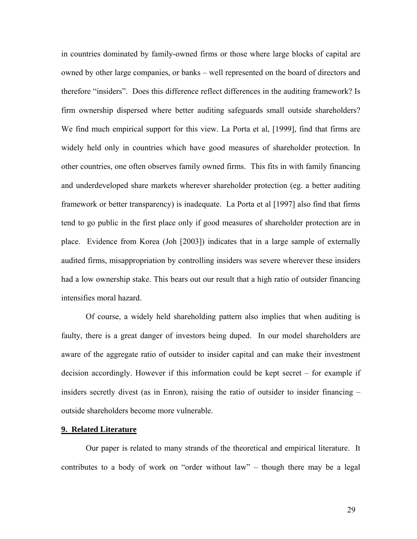in countries dominated by family-owned firms or those where large blocks of capital are owned by other large companies, or banks – well represented on the board of directors and therefore "insiders". Does this difference reflect differences in the auditing framework? Is firm ownership dispersed where better auditing safeguards small outside shareholders? We find much empirical support for this view. La Porta et al, [1999], find that firms are widely held only in countries which have good measures of shareholder protection. In other countries, one often observes family owned firms. This fits in with family financing and underdeveloped share markets wherever shareholder protection (eg. a better auditing framework or better transparency) is inadequate. La Porta et al [1997] also find that firms tend to go public in the first place only if good measures of shareholder protection are in place. Evidence from Korea (Joh [2003]) indicates that in a large sample of externally audited firms, misappropriation by controlling insiders was severe wherever these insiders had a low ownership stake. This bears out our result that a high ratio of outsider financing intensifies moral hazard.

Of course, a widely held shareholding pattern also implies that when auditing is faulty, there is a great danger of investors being duped. In our model shareholders are aware of the aggregate ratio of outsider to insider capital and can make their investment decision accordingly. However if this information could be kept secret – for example if insiders secretly divest (as in Enron), raising the ratio of outsider to insider financing – outside shareholders become more vulnerable.

#### **9. Related Literature**

 Our paper is related to many strands of the theoretical and empirical literature. It contributes to a body of work on "order without law" – though there may be a legal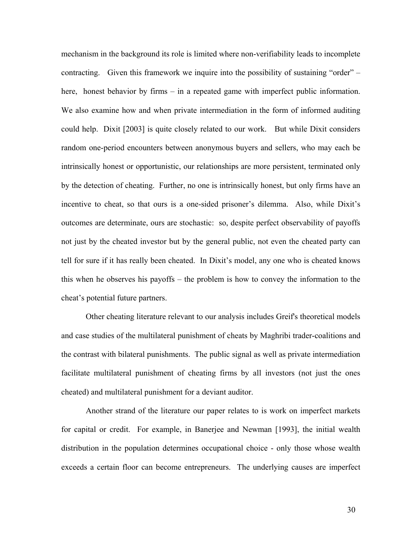mechanism in the background its role is limited where non-verifiability leads to incomplete contracting. Given this framework we inquire into the possibility of sustaining "order" – here, honest behavior by firms – in a repeated game with imperfect public information. We also examine how and when private intermediation in the form of informed auditing could help. Dixit [2003] is quite closely related to our work. But while Dixit considers random one-period encounters between anonymous buyers and sellers, who may each be intrinsically honest or opportunistic, our relationships are more persistent, terminated only by the detection of cheating. Further, no one is intrinsically honest, but only firms have an incentive to cheat, so that ours is a one-sided prisoner's dilemma. Also, while Dixit's outcomes are determinate, ours are stochastic: so, despite perfect observability of payoffs not just by the cheated investor but by the general public, not even the cheated party can tell for sure if it has really been cheated. In Dixit's model, any one who is cheated knows this when he observes his payoffs – the problem is how to convey the information to the cheat's potential future partners.

 Other cheating literature relevant to our analysis includes Greif's theoretical models and case studies of the multilateral punishment of cheats by Maghribi trader-coalitions and the contrast with bilateral punishments. The public signal as well as private intermediation facilitate multilateral punishment of cheating firms by all investors (not just the ones cheated) and multilateral punishment for a deviant auditor.

Another strand of the literature our paper relates to is work on imperfect markets for capital or credit. For example, in Banerjee and Newman [1993], the initial wealth distribution in the population determines occupational choice - only those whose wealth exceeds a certain floor can become entrepreneurs. The underlying causes are imperfect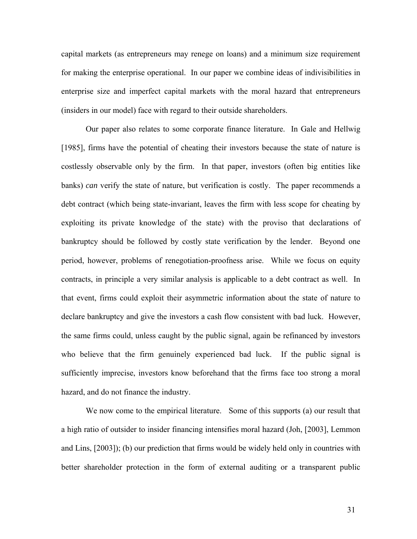capital markets (as entrepreneurs may renege on loans) and a minimum size requirement for making the enterprise operational. In our paper we combine ideas of indivisibilities in enterprise size and imperfect capital markets with the moral hazard that entrepreneurs (insiders in our model) face with regard to their outside shareholders.

Our paper also relates to some corporate finance literature. In Gale and Hellwig [1985], firms have the potential of cheating their investors because the state of nature is costlessly observable only by the firm. In that paper, investors (often big entities like banks) *can* verify the state of nature, but verification is costly. The paper recommends a debt contract (which being state-invariant, leaves the firm with less scope for cheating by exploiting its private knowledge of the state) with the proviso that declarations of bankruptcy should be followed by costly state verification by the lender. Beyond one period, however, problems of renegotiation-proofness arise. While we focus on equity contracts, in principle a very similar analysis is applicable to a debt contract as well. In that event, firms could exploit their asymmetric information about the state of nature to declare bankruptcy and give the investors a cash flow consistent with bad luck. However, the same firms could, unless caught by the public signal, again be refinanced by investors who believe that the firm genuinely experienced bad luck. If the public signal is sufficiently imprecise, investors know beforehand that the firms face too strong a moral hazard, and do not finance the industry.

We now come to the empirical literature. Some of this supports (a) our result that a high ratio of outsider to insider financing intensifies moral hazard (Joh, [2003], Lemmon and Lins, [2003]); (b) our prediction that firms would be widely held only in countries with better shareholder protection in the form of external auditing or a transparent public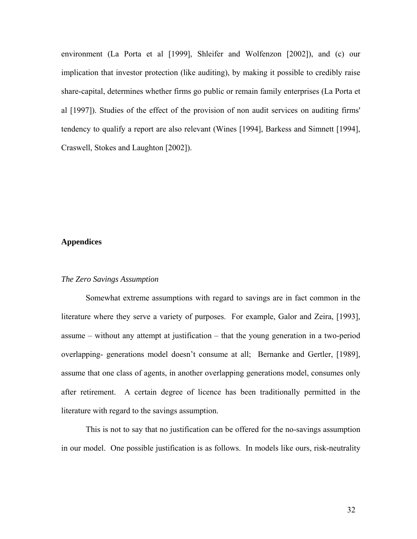environment (La Porta et al [1999], Shleifer and Wolfenzon [2002]), and (c) our implication that investor protection (like auditing), by making it possible to credibly raise share-capital, determines whether firms go public or remain family enterprises (La Porta et al [1997]). Studies of the effect of the provision of non audit services on auditing firms' tendency to qualify a report are also relevant (Wines [1994], Barkess and Simnett [1994], Craswell, Stokes and Laughton [2002]).

## **Appendices**

#### *The Zero Savings Assumption*

Somewhat extreme assumptions with regard to savings are in fact common in the literature where they serve a variety of purposes. For example, Galor and Zeira, [1993], assume – without any attempt at justification – that the young generation in a two-period overlapping- generations model doesn't consume at all; Bernanke and Gertler, [1989], assume that one class of agents, in another overlapping generations model, consumes only after retirement. A certain degree of licence has been traditionally permitted in the literature with regard to the savings assumption.

This is not to say that no justification can be offered for the no-savings assumption in our model. One possible justification is as follows. In models like ours, risk-neutrality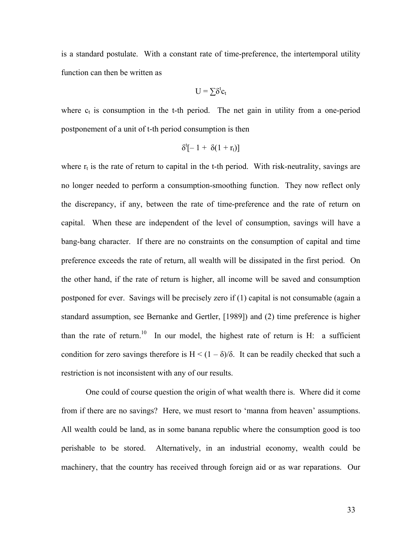is a standard postulate. With a constant rate of time-preference, the intertemporal utility function can then be written as

$$
U = \sum \delta^t c_t
$$

where  $c_t$  is consumption in the t-th period. The net gain in utility from a one-period postponement of a unit of t-th period consumption is then

$$
\delta^t[-1+\delta(1+r_t)]
$$

where  $r_t$  is the rate of return to capital in the t-th period. With risk-neutrality, savings are no longer needed to perform a consumption-smoothing function. They now reflect only the discrepancy, if any, between the rate of time-preference and the rate of return on capital. When these are independent of the level of consumption, savings will have a bang-bang character. If there are no constraints on the consumption of capital and time preference exceeds the rate of return, all wealth will be dissipated in the first period. On the other hand, if the rate of return is higher, all income will be saved and consumption postponed for ever. Savings will be precisely zero if (1) capital is not consumable (again a standard assumption, see Bernanke and Gertler, [1989]) and (2) time preference is higher than the rate of return.<sup>10</sup> In our model, the highest rate of return is H: a sufficient condition for zero savings therefore is  $H < (1 - \delta)/\delta$ . It can be readily checked that such a restriction is not inconsistent with any of our results.

One could of course question the origin of what wealth there is. Where did it come from if there are no savings? Here, we must resort to 'manna from heaven' assumptions. All wealth could be land, as in some banana republic where the consumption good is too perishable to be stored. Alternatively, in an industrial economy, wealth could be machinery, that the country has received through foreign aid or as war reparations. Our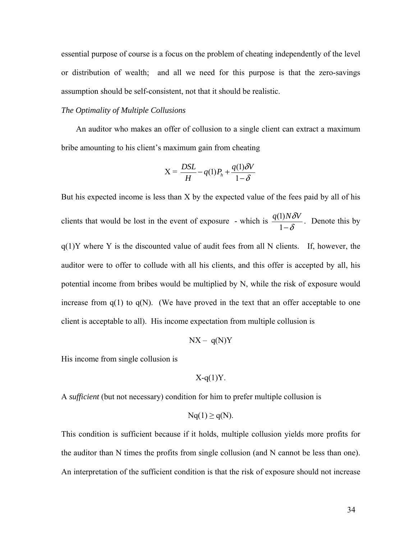essential purpose of course is a focus on the problem of cheating independently of the level or distribution of wealth; and all we need for this purpose is that the zero-savings assumption should be self-consistent, not that it should be realistic.

### *The Optimality of Multiple Collusions*

An auditor who makes an offer of collusion to a single client can extract a maximum bribe amounting to his client's maximum gain from cheating

$$
X = \frac{DSL}{H} - q(1)P_h + \frac{q(1)\delta V}{1 - \delta}
$$

But his expected income is less than X by the expected value of the fees paid by all of his clients that would be lost in the event of exposure - which is  $\frac{q(1)}{1}$ 1  $\frac{q(1)N\delta V}{1-\delta}$ . Denote this by  $q(1)Y$  where Y is the discounted value of audit fees from all N clients. If, however, the auditor were to offer to collude with all his clients, and this offer is accepted by all, his potential income from bribes would be multiplied by N, while the risk of exposure would increase from  $q(1)$  to  $q(N)$ . (We have proved in the text that an offer acceptable to one client is acceptable to all). His income expectation from multiple collusion is

$$
NX - q(N)Y
$$

His income from single collusion is

$$
X-q(1)Y.
$$

A *sufficient* (but not necessary) condition for him to prefer multiple collusion is

$$
Nq(1) \ge q(N).
$$

This condition is sufficient because if it holds, multiple collusion yields more profits for the auditor than N times the profits from single collusion (and N cannot be less than one). An interpretation of the sufficient condition is that the risk of exposure should not increase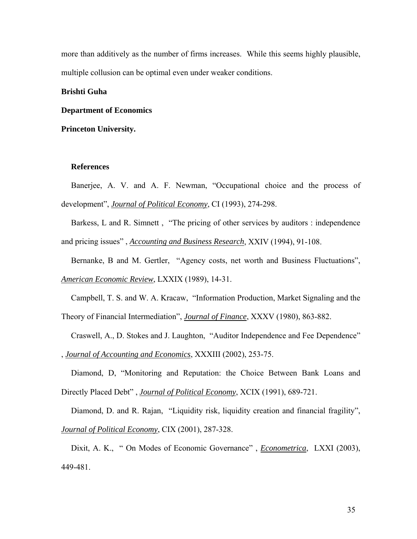more than additively as the number of firms increases. While this seems highly plausible, multiple collusion can be optimal even under weaker conditions.

### **Brishti Guha**

### **Department of Economics**

**Princeton University.** 

#### **References**

Banerjee, A. V. and A. F. Newman, "Occupational choice and the process of development", *Journal of Political Economy*, CI (1993), 274-298.

Barkess, L and R. Simnett, "The pricing of other services by auditors : independence and pricing issues" , *Accounting and Business Research*, XXIV (1994), 91-108.

Bernanke, B and M. Gertler, "Agency costs, net worth and Business Fluctuations", *American Economic Review*, LXXIX (1989), 14-31.

Campbell, T. S. and W. A. Kracaw, "Information Production, Market Signaling and the Theory of Financial Intermediation", *Journal of Finance*, XXXV (1980), 863-882.

Craswell, A., D. Stokes and J. Laughton, "Auditor Independence and Fee Dependence" , *Journal of Accounting and Economics*, XXXIII (2002), 253-75.

Diamond, D, "Monitoring and Reputation: the Choice Between Bank Loans and Directly Placed Debt" , *Journal of Political Economy*, XCIX (1991), 689-721.

Diamond, D. and R. Rajan, "Liquidity risk, liquidity creation and financial fragility", *Journal of Political Economy*, CIX (2001), 287-328.

Dixit, A. K., " On Modes of Economic Governance" , *Econometrica*, LXXI (2003), 449-481.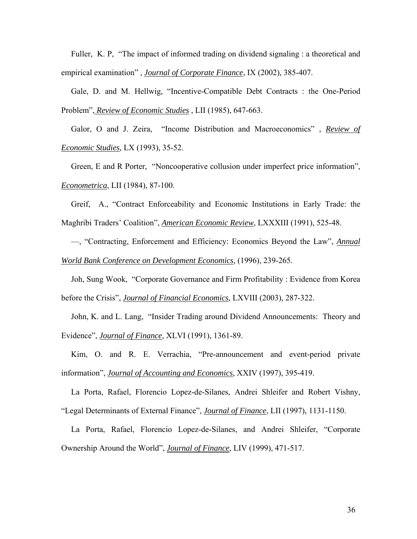Fuller, K. P, "The impact of informed trading on dividend signaling : a theoretical and empirical examination" , *Journal of Corporate Finance*, IX (2002), 385-407.

Gale, D. and M. Hellwig, "Incentive-Compatible Debt Contracts : the One-Period Problem", *Review of Economic Studies* , LII (1985), 647-663.

Galor, O and J. Zeira, "Income Distribution and Macroeconomics" , *Review of Economic Studies*, LX (1993), 35-52.

Green, E and R Porter, "Noncooperative collusion under imperfect price information", *Econometrica*, LII (1984), 87-100.

Greif, A., "Contract Enforceability and Economic Institutions in Early Trade: the Maghribi Traders' Coalition", *American Economic Review*, LXXXIII (1991), 525-48.

—, "Contracting, Enforcement and Efficiency: Economics Beyond the Law", *Annual World Bank Conference on Development Economics*, (1996), 239-265.

Joh, Sung Wook, "Corporate Governance and Firm Profitability : Evidence from Korea before the Crisis", *Journal of Financial Economics*, LXVIII (2003), 287-322.

John, K. and L. Lang, "Insider Trading around Dividend Announcements: Theory and Evidence", *Journal of Finance*, XLVI (1991), 1361-89.

Kim, O. and R. E. Verrachia, "Pre-announcement and event-period private information", *Journal of Accounting and Economics*, XXIV (1997), 395-419.

La Porta, Rafael, Florencio Lopez-de-Silanes, Andrei Shleifer and Robert Vishny, "Legal Determinants of External Finance", *Journal of Finance*, LII (1997), 1131-1150.

La Porta, Rafael, Florencio Lopez-de-Silanes, and Andrei Shleifer, "Corporate Ownership Around the World", *Journal of Finance*, LIV (1999), 471-517.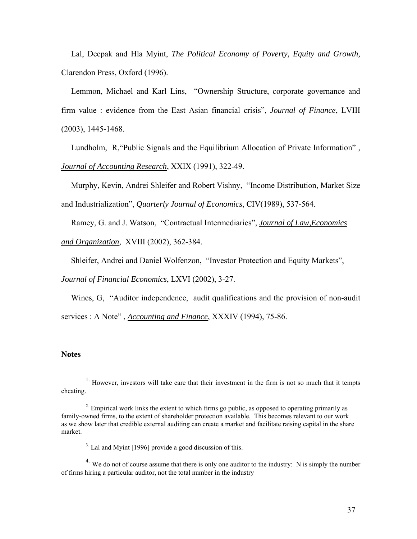Lal, Deepak and Hla Myint, *The Political Economy of Poverty, Equity and Growth,*  Clarendon Press, Oxford (1996).

Lemmon, Michael and Karl Lins, "Ownership Structure, corporate governance and firm value : evidence from the East Asian financial crisis", *Journal of Finance*, LVIII (2003), 1445-1468.

Lundholm, R,"Public Signals and the Equilibrium Allocation of Private Information" , *Journal of Accounting Research*, XXIX (1991), 322-49.

Murphy, Kevin, Andrei Shleifer and Robert Vishny, "Income Distribution, Market Size

and Industrialization", *Quarterly Journal of Economics*, CIV(1989), 537-564.

Ramey, G. and J. Watson, "Contractual Intermediaries", *Journal of Law,Economics* 

*and Organization,* XVIII (2002), 362-384.

Shleifer, Andrei and Daniel Wolfenzon, "Investor Protection and Equity Markets",

*Journal of Financial Economics*, LXVI (2002), 3-27.

Wines, G, "Auditor independence, audit qualifications and the provision of non-audit services : A Note" , *Accounting and Finance*, XXXIV (1994), 75-86.

#### **Notes**

<sup>3</sup>. Lal and Myint [1996] provide a good discussion of this.

<sup>4.</sup> We do not of course assume that there is only one auditor to the industry: N is simply the number of firms hiring a particular auditor, not the total number in the industry

 $1.$  However, investors will take care that their investment in the firm is not so much that it tempts cheating.

<sup>&</sup>lt;sup>2</sup>. Empirical work links the extent to which firms go public, as opposed to operating primarily as family-owned firms, to the extent of shareholder protection available. This becomes relevant to our work as we show later that credible external auditing can create a market and facilitate raising capital in the share market.